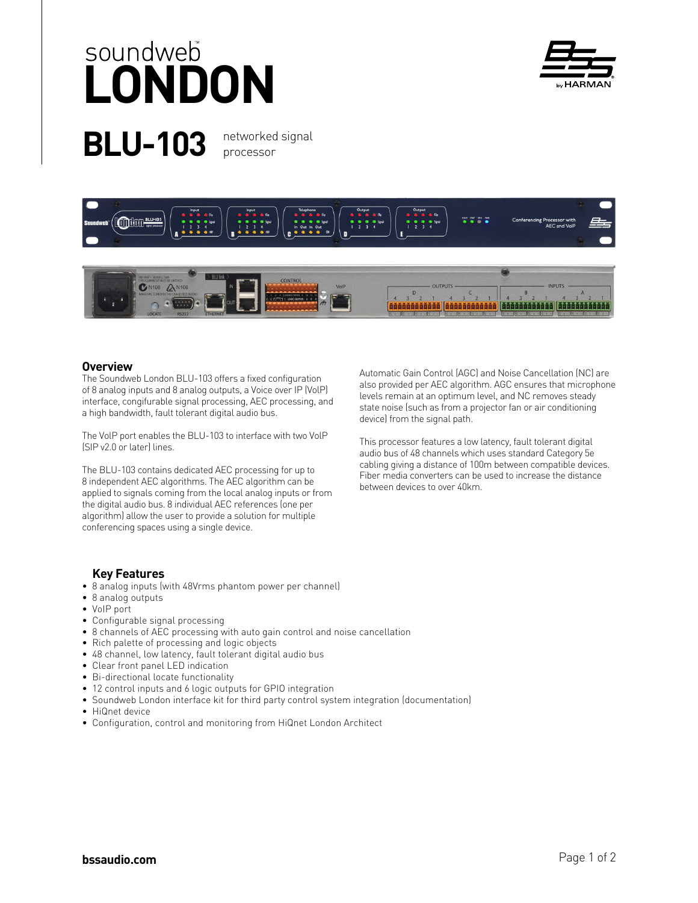## **BLU-103** networked signal soundweb<sup>o</sup><br>**LONDON**

**by HARMAN** 

processor





## **Overview**

The Soundweb London BLU-103 offers a fixed configuration of 8 analog inputs and 8 analog outputs, a Voice over IP (VolP) interface, congifurable signal processing, AEC processing, and a high bandwidth, fault tolerant digital audio bus.

The VolP port enables the BLU-103 to interface with two VolP (SIP v2.0 or later) lines.

The BLU-103 contains dedicated AEC processing for up to 8 independent AEC algorithms. The AEC algorithm can be applied to signals coming from the local analog inputs or from the digital audio bus. 8 individual AEC references (one per algorithm) allow the user to provide a solution for multiple conferencing spaces using a single device.

 **Key Features**

- 8 analog inputs (with 48Vrms phantom power per channel)
- 8 analog outputs
- VoIP port
- Configurable signal processing
- 8 channels of AEC processing with auto gain control and noise cancellation
- Rich palette of processing and logic objects
- 48 channel, low latency, fault tolerant digital audio bus
- Clear front panel LED indication
- Bi-directional locate functionality
- 12 control inputs and 6 logic outputs for GPIO integration
- Soundweb London interface kit for third party control system integration (documentation)
- HiQnet device
- Configuration, control and monitoring from HiQnet London Architect

Automatic Gain Control (AGC) and Noise Cancellation (NC) are also provided per AEC algorithm. AGC ensures that microphone levels remain at an optimum level, and NC removes steady state noise (such as from a projector fan or air conditioning device) from the signal path.

This processor features a low latency, fault tolerant digital audio bus of 48 channels which uses standard Category 5e cabling giving a distance of 100m between compatible devices. Fiber media converters can be used to increase the distance between devices to over 40km.